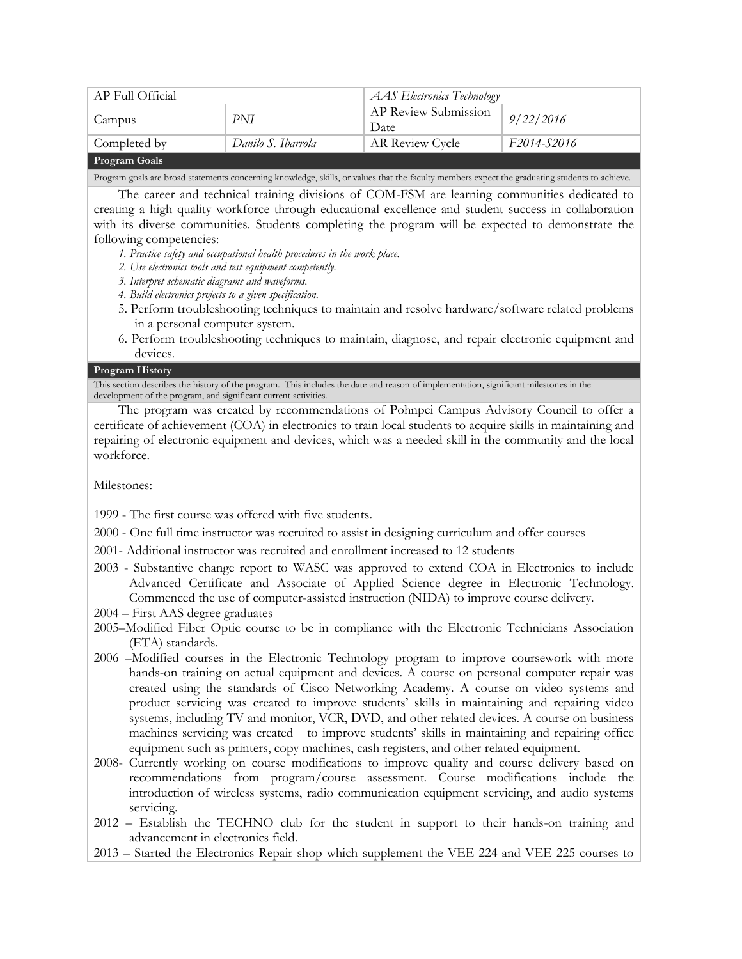| AP Full Official     |                    | <b>AAS</b> Electronics Technology |             |  |
|----------------------|--------------------|-----------------------------------|-------------|--|
| Campus               | PNI                | AP Review Submission<br>Date      | 9/22/2016   |  |
| Completed by         | Danilo S. Ibarrola | AR Review Cycle                   | F2014-S2016 |  |
| <b>Program Goals</b> |                    |                                   |             |  |

Program goals are broad statements concerning knowledge, skills, or values that the faculty members expect the graduating students to achieve.

The career and technical training divisions of COM-FSM are learning communities dedicated to creating a high quality workforce through educational excellence and student success in collaboration with its diverse communities. Students completing the program will be expected to demonstrate the following competencies:

- *1. Practice safety and occupational health procedures in the work place.*
- *2. Use electronics tools and test equipment competently.*
- *3. Interpret schematic diagrams and waveforms.*
- *4. Build electronics projects to a given specification.*
- 5. Perform troubleshooting techniques to maintain and resolve hardware/software related problems in a personal computer system.
- 6. Perform troubleshooting techniques to maintain, diagnose, and repair electronic equipment and devices.

#### **Program History**

This section describes the history of the program. This includes the date and reason of implementation, significant milestones in the development of the program, and significant current activities.

The program was created by recommendations of Pohnpei Campus Advisory Council to offer a certificate of achievement (COA) in electronics to train local students to acquire skills in maintaining and repairing of electronic equipment and devices, which was a needed skill in the community and the local workforce.

Milestones:

1999 - The first course was offered with five students.

- 2000 One full time instructor was recruited to assist in designing curriculum and offer courses
- 2001- Additional instructor was recruited and enrollment increased to 12 students
- 2003 Substantive change report to WASC was approved to extend COA in Electronics to include Advanced Certificate and Associate of Applied Science degree in Electronic Technology. Commenced the use of computer-assisted instruction (NIDA) to improve course delivery.
- 2004 First AAS degree graduates
- 2005–Modified Fiber Optic course to be in compliance with the Electronic Technicians Association (ETA) standards.
- 2006 –Modified courses in the Electronic Technology program to improve coursework with more hands-on training on actual equipment and devices. A course on personal computer repair was created using the standards of Cisco Networking Academy. A course on video systems and product servicing was created to improve students' skills in maintaining and repairing video systems, including TV and monitor, VCR, DVD, and other related devices. A course on business machines servicing was created to improve students' skills in maintaining and repairing office equipment such as printers, copy machines, cash registers, and other related equipment.
- 2008- Currently working on course modifications to improve quality and course delivery based on recommendations from program/course assessment. Course modifications include the introduction of wireless systems, radio communication equipment servicing, and audio systems servicing.

2012 – Establish the TECHNO club for the student in support to their hands-on training and advancement in electronics field.

2013 – Started the Electronics Repair shop which supplement the VEE 224 and VEE 225 courses to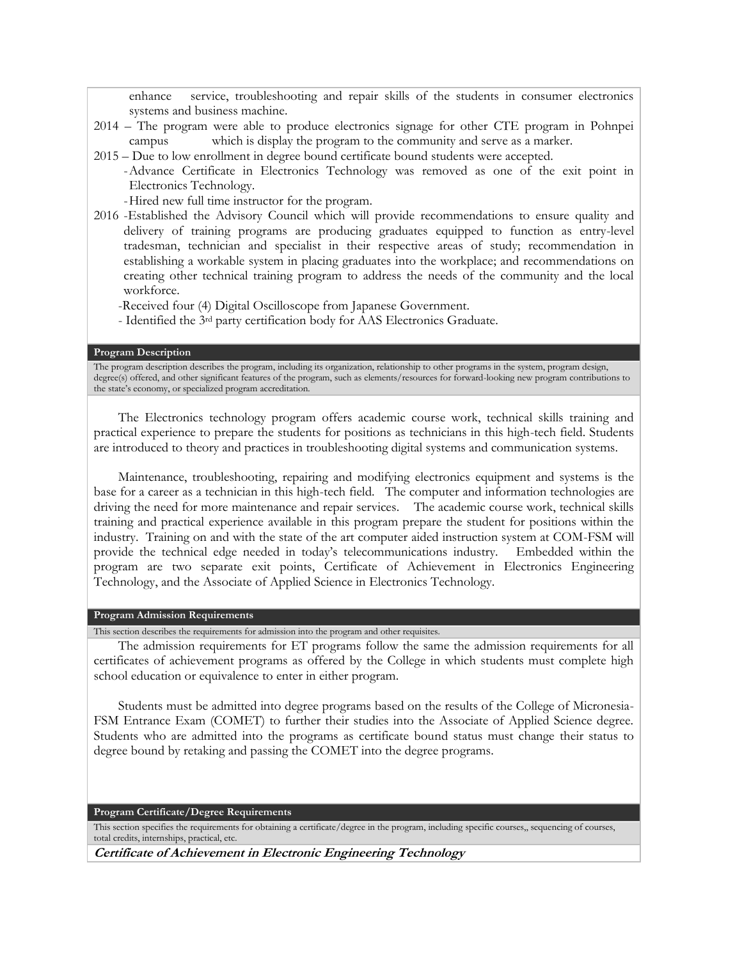enhance service, troubleshooting and repair skills of the students in consumer electronics systems and business machine.

- 2014 The program were able to produce electronics signage for other CTE program in Pohnpei campus which is display the program to the community and serve as a marker.
- 2015 Due to low enrollment in degree bound certificate bound students were accepted. -Advance Certificate in Electronics Technology was removed as one of the exit point in Electronics Technology.

-Hired new full time instructor for the program.

2016 -Established the Advisory Council which will provide recommendations to ensure quality and delivery of training programs are producing graduates equipped to function as entry-level tradesman, technician and specialist in their respective areas of study; recommendation in establishing a workable system in placing graduates into the workplace; and recommendations on creating other technical training program to address the needs of the community and the local workforce.

-Received four (4) Digital Oscilloscope from Japanese Government.

- Identified the 3rd party certification body for AAS Electronics Graduate.

#### **Program Description**

The program description describes the program, including its organization, relationship to other programs in the system, program design, degree(s) offered, and other significant features of the program, such as elements/resources for forward-looking new program contributions to the state's economy, or specialized program accreditation.

The Electronics technology program offers academic course work, technical skills training and practical experience to prepare the students for positions as technicians in this high-tech field. Students are introduced to theory and practices in troubleshooting digital systems and communication systems.

Maintenance, troubleshooting, repairing and modifying electronics equipment and systems is the base for a career as a technician in this high-tech field. The computer and information technologies are driving the need for more maintenance and repair services. The academic course work, technical skills training and practical experience available in this program prepare the student for positions within the industry. Training on and with the state of the art computer aided instruction system at COM-FSM will provide the technical edge needed in today's telecommunications industry. Embedded within the program are two separate exit points, Certificate of Achievement in Electronics Engineering Technology, and the Associate of Applied Science in Electronics Technology.

#### **Program Admission Requirements**

This section describes the requirements for admission into the program and other requisites.

The admission requirements for ET programs follow the same the admission requirements for all certificates of achievement programs as offered by the College in which students must complete high school education or equivalence to enter in either program.

Students must be admitted into degree programs based on the results of the College of Micronesia-FSM Entrance Exam (COMET) to further their studies into the Associate of Applied Science degree. Students who are admitted into the programs as certificate bound status must change their status to degree bound by retaking and passing the COMET into the degree programs.

**Program Certificate/Degree Requirements**

This section specifies the requirements for obtaining a certificate/degree in the program, including specific courses,, sequencing of courses, total credits, internships, practical, etc.

**Certificate of Achievement in Electronic Engineering Technology**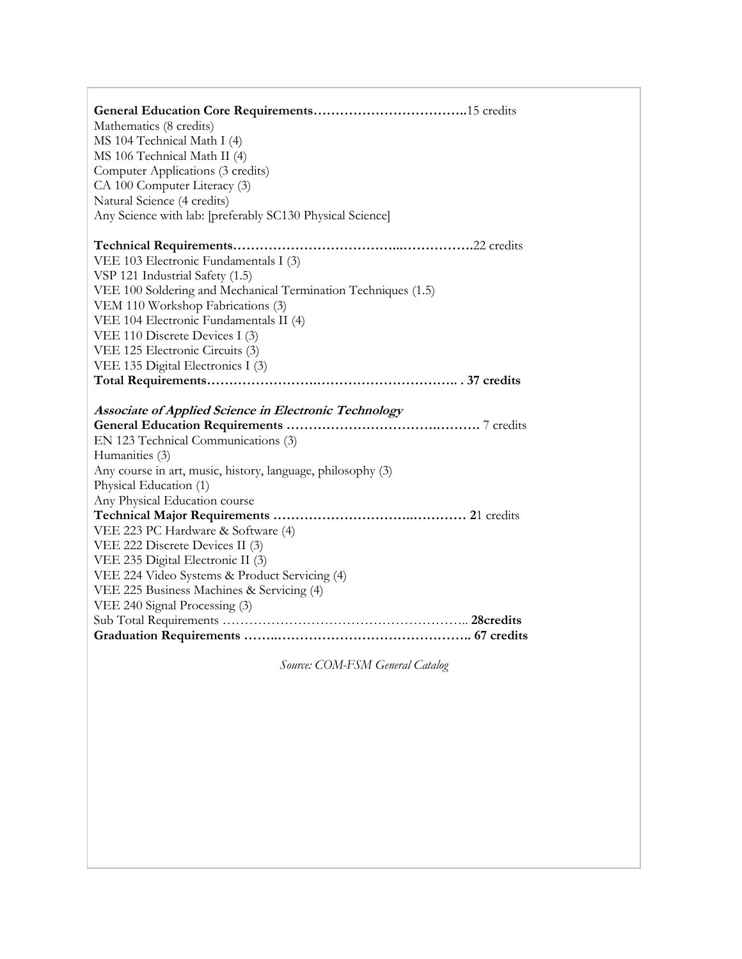| Mathematics (8 credits)<br>MS 104 Technical Math I (4)<br>MS 106 Technical Math II (4)<br>Computer Applications (3 credits)<br>CA 100 Computer Literacy (3)<br>Natural Science (4 credits)<br>Any Science with lab: [preferably SC130 Physical Science] |
|---------------------------------------------------------------------------------------------------------------------------------------------------------------------------------------------------------------------------------------------------------|
|                                                                                                                                                                                                                                                         |
| VEE 103 Electronic Fundamentals I (3)                                                                                                                                                                                                                   |
| VSP 121 Industrial Safety (1.5)                                                                                                                                                                                                                         |
| VEE 100 Soldering and Mechanical Termination Techniques (1.5)                                                                                                                                                                                           |
| VEM 110 Workshop Fabrications (3)                                                                                                                                                                                                                       |
| VEE 104 Electronic Fundamentals II (4)                                                                                                                                                                                                                  |
| VEE 110 Discrete Devices I (3)                                                                                                                                                                                                                          |
| VEE 125 Electronic Circuits (3)                                                                                                                                                                                                                         |
| VEE 135 Digital Electronics I (3)                                                                                                                                                                                                                       |
|                                                                                                                                                                                                                                                         |
| Associate of Applied Science in Electronic Technology                                                                                                                                                                                                   |
|                                                                                                                                                                                                                                                         |
| EN 123 Technical Communications (3)                                                                                                                                                                                                                     |
| Humanities (3)                                                                                                                                                                                                                                          |
| Any course in art, music, history, language, philosophy (3)                                                                                                                                                                                             |
| Physical Education (1)                                                                                                                                                                                                                                  |
| Any Physical Education course                                                                                                                                                                                                                           |
|                                                                                                                                                                                                                                                         |
| VEE 223 PC Hardware & Software (4)                                                                                                                                                                                                                      |
| VEE 222 Discrete Devices II (3)                                                                                                                                                                                                                         |
| VEE 235 Digital Electronic II (3)                                                                                                                                                                                                                       |
| VEE 224 Video Systems & Product Servicing (4)                                                                                                                                                                                                           |
| VEE 225 Business Machines & Servicing (4)                                                                                                                                                                                                               |
| VEE 240 Signal Processing (3)                                                                                                                                                                                                                           |
|                                                                                                                                                                                                                                                         |
|                                                                                                                                                                                                                                                         |
|                                                                                                                                                                                                                                                         |

*Source: COM-FSM General Catalog*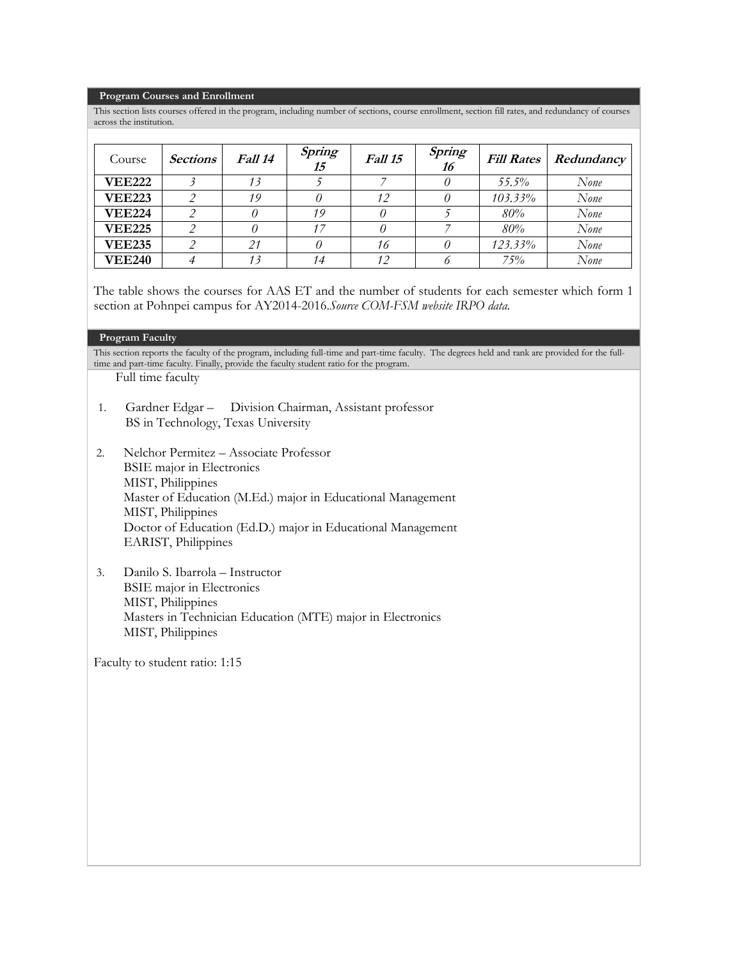#### **Program Courses and Enrollment**

This section lists courses offered in the program, including number of sections, course enrollment, section fill rates, and redundancy of courses across the institution.

| Course        | <b>Sections</b> | Fall 14 | Spring<br>15 | Fall 15 | Spring<br>16 | <b>Fill Rates</b> | Redundancy |
|---------------|-----------------|---------|--------------|---------|--------------|-------------------|------------|
| <b>VEE222</b> |                 |         |              |         |              | 55.5%             | None       |
| <b>VEE223</b> |                 | 19      |              | 12      |              | $103.33\%$        | None       |
| <b>VEE224</b> |                 |         | 19           |         |              | 80%               | None       |
| <b>VEE225</b> |                 |         |              |         |              | $80\%$            | None       |
| <b>VEE235</b> |                 | 21      |              | 16      |              | 123.33%           | None       |
| <b>VEE240</b> |                 | 13      | 14           | 12      |              | 75%               | None       |

The table shows the courses for AAS ET and the number of students for each semester which form 1 section at Pohnpei campus for AY2014-2016.*Source COM-FSM website IRPO data.*

#### **Program Faculty**

This section reports the faculty of the program, including full-time and part-time faculty. The degrees held and rank are provided for the fulltime and part-time faculty. Finally, provide the faculty student ratio for the program.

Full time faculty

- 1. Gardner Edgar Division Chairman, Assistant professor BS in Technology, Texas University
- 2. Nelchor Permitez Associate Professor BSIE major in Electronics MIST, Philippines Master of Education (M.Ed.) major in Educational Management MIST, Philippines Doctor of Education (Ed.D.) major in Educational Management EARIST, Philippines
- 3. Danilo S. Ibarrola Instructor BSIE major in Electronics MIST, Philippines Masters in Technician Education (MTE) major in Electronics MIST, Philippines

Faculty to student ratio: 1:15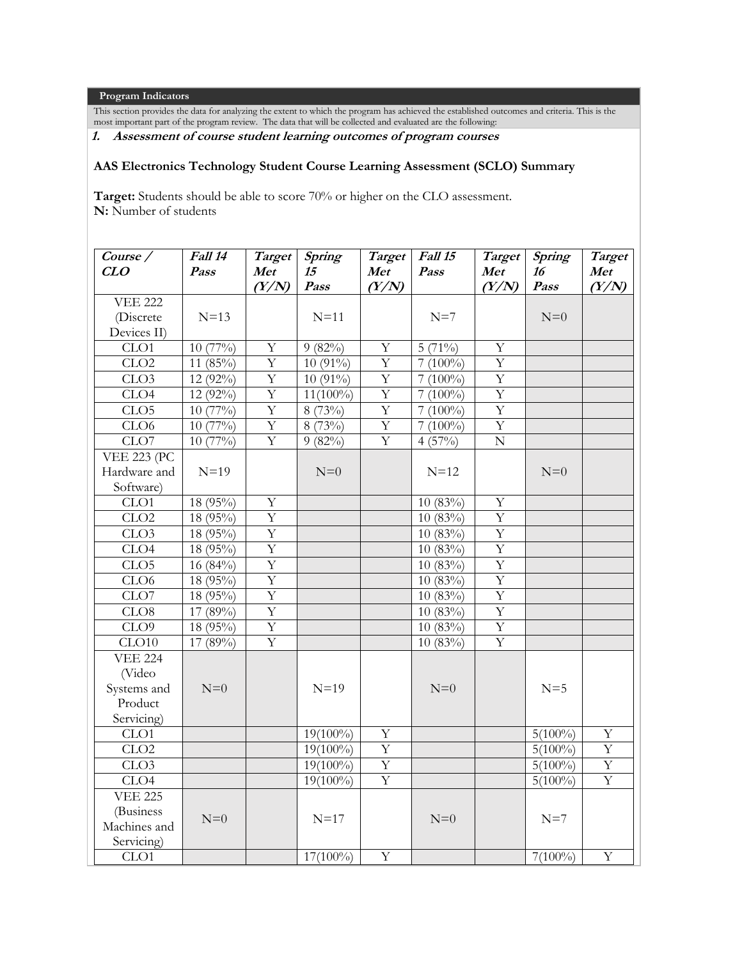**Program Indicators**

This section provides the data for analyzing the extent to which the program has achieved the established outcomes and criteria. This is the most important part of the program review. The data that will be collected and evaluated are the following:

# **1. Assessment of course student learning outcomes of program courses**

### **AAS Electronics Technology Student Course Learning Assessment (SCLO) Summary**

**Target:** Students should be able to score 70% or higher on the CLO assessment. **N:** Number of students

| $\overline{\text{Course}}$ / | Fall 14               | Target         | Spring      | <b>Target</b>           | Fall 15    | <b>Target</b>           | Spring     | Target         |
|------------------------------|-----------------------|----------------|-------------|-------------------------|------------|-------------------------|------------|----------------|
| CLO                          | Pass                  | Met            | 15<br>Pass  | Met                     | Pass       | Met                     | 16<br>Pass | Met            |
| <b>VEE 222</b>               |                       | (Y/N)          |             | (Y/N)                   |            | (Y/N)                   |            | (Y/N)          |
| (Discrete                    | $N=13$                |                | $N=11$      |                         | $N=7$      |                         | $N=0$      |                |
| Devices II)                  |                       |                |             |                         |            |                         |            |                |
| CLO1                         | $10(77\%)$            | Y              | $9(82\%)$   | Υ                       | $5(71\%)$  | Y                       |            |                |
| CLO2                         | 11 $(85\%)$           | $\overline{Y}$ | $10(91\%)$  | $\overline{Y}$          | $7(100\%)$ | $\overline{Y}$          |            |                |
| CLO <sub>3</sub>             | 12 (92%)              | $\mathbf Y$    | 10 (91%)    | Y                       | $7(100\%)$ | $\overline{Y}$          |            |                |
| CLO <sub>4</sub>             | 12 (92%)              | $\overline{Y}$ | $11(100\%)$ | $\overline{\mathrm{Y}}$ | $7(100\%)$ | $\overline{Y}$          |            |                |
| CLO5                         | 10(77%)               | $\overline{Y}$ | 8(73%)      | $\overline{Y}$          | $7(100\%)$ | $\overline{\mathrm{Y}}$ |            |                |
| CLO6                         | $10(77\%)$            | $\overline{Y}$ | 8 (73%)     | Y                       | $7(100\%)$ | $\overline{Y}$          |            |                |
| CLO7                         | $\overline{10(77\%)}$ | $\overline{Y}$ | $9(82\%)$   | $\overline{Y}$          | 4(57%)     | $\overline{N}$          |            |                |
| <b>VEE 223 (PC</b>           |                       |                |             |                         |            |                         |            |                |
| Hardware and                 | $N=19$                |                | $N=0$       |                         | $N=12$     |                         | $N=0$      |                |
| Software)                    |                       |                |             |                         |            |                         |            |                |
| CLO1                         | 18 (95%)              | $\mathbf Y$    |             |                         | 10(83%)    | $\mathbf Y$             |            |                |
| CLO2                         | 18 (95%)              | $\overline{Y}$ |             |                         | 10(83%)    | $\overline{Y}$          |            |                |
| CLO <sub>3</sub>             | 18 (95%)              | $\overline{Y}$ |             |                         | 10(83%)    | $\overline{Y}$          |            |                |
| CLO <sub>4</sub>             | 18 (95%)              | $\overline{Y}$ |             |                         | 10(83%)    | $\overline{Y}$          |            |                |
| CLO <sub>5</sub>             | 16 $(84\%)$           | $\overline{Y}$ |             |                         | $10(83\%)$ | $\overline{Y}$          |            |                |
| CLO <sub>6</sub>             | 18 (95%)              | $\overline{Y}$ |             |                         | 10(83%)    | $\overline{Y}$          |            |                |
| CLO7                         | 18 (95%)              | $\overline{Y}$ |             |                         | 10(83%)    | $\overline{Y}$          |            |                |
| CLO8                         | 17 (89%)              | Y              |             |                         | 10(83%)    | $\mathbf Y$             |            |                |
| CLO <sub>9</sub>             | 18 (95%)              | $\overline{Y}$ |             |                         | 10(83%)    | $\overline{Y}$          |            |                |
| CLO10                        | 17 (89%)              | $\overline{Y}$ |             |                         | 10(83%)    | $\overline{Y}$          |            |                |
| <b>VEE 224</b>               |                       |                |             |                         |            |                         |            |                |
| (Video                       |                       |                |             |                         |            |                         |            |                |
| Systems and                  | $N=0$                 |                | $N=19$      |                         | $N=0$      |                         | $N=5$      |                |
| Product                      |                       |                |             |                         |            |                         |            |                |
| Servicing)                   |                       |                |             |                         |            |                         |            |                |
| CLO <sub>1</sub>             |                       |                | $19(100\%)$ | Y                       |            |                         | $5(100\%)$ | $\mathbf Y$    |
| CLO2                         |                       |                | $19(100\%)$ | $\overline{Y}$          |            |                         | $5(100\%)$ | $\overline{Y}$ |
| CLO3                         |                       |                | $19(100\%)$ | $\overline{Y}$          |            |                         | $5(100\%)$ | $\overline{Y}$ |
| CLO <sub>4</sub>             |                       |                | $19(100\%)$ | Y                       |            |                         | $5(100\%)$ | $\overline{Y}$ |
| <b>VEE 225</b>               |                       |                |             |                         |            |                         |            |                |
| (Business                    |                       |                |             |                         |            |                         |            |                |
| Machines and                 | $N=0$                 |                | $N=17$      |                         | $N=0$      |                         | $N=7$      |                |
| Servicing)                   |                       |                |             |                         |            |                         |            |                |
| CLO1                         |                       |                | $17(100\%)$ | Y                       |            |                         | $7(100\%)$ | Y              |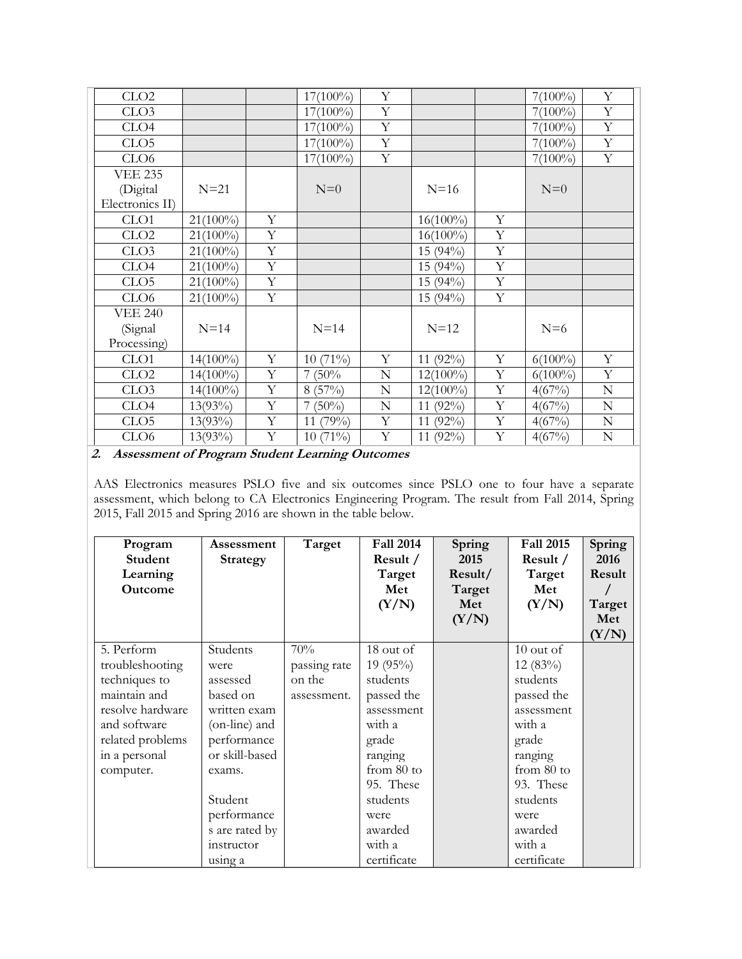| CLO2             |             |             | $17(100\%)$ | Y              |             |   | $7(100\%)$ | Y              |
|------------------|-------------|-------------|-------------|----------------|-------------|---|------------|----------------|
| CLO <sub>3</sub> |             |             | $17(100\%)$ | Y              |             |   | $7(100\%)$ | Y              |
| CLO4             |             |             | $17(100\%)$ | Y              |             |   | $7(100\%)$ | $\mathbf Y$    |
| CLO <sub>5</sub> |             |             | $17(100\%)$ | $\mathbf Y$    |             |   | $7(100\%)$ | $\mathbf Y$    |
| CLO <sub>6</sub> |             |             | $17(100\%)$ | $\overline{Y}$ |             |   | $7(100\%)$ | $\overline{Y}$ |
| <b>VEE 235</b>   |             |             |             |                |             |   |            |                |
| (Digital         | $N=21$      |             | $N=0$       |                | $N=16$      |   | $N=0$      |                |
| Electronics II)  |             |             |             |                |             |   |            |                |
| CLO1             | $21(100\%)$ | Y           |             |                | $16(100\%)$ | Y |            |                |
| CLO2             | $21(100\%)$ | Y           |             |                | $16(100\%)$ | Y |            |                |
| CLO <sub>3</sub> | $21(100\%)$ | $\mathbf Y$ |             |                | $15(94\%)$  | Y |            |                |
| CLO <sub>4</sub> | $21(100\%)$ | Y           |             |                | $15(94\%)$  | Y |            |                |
| CLO <sub>5</sub> | $21(100\%)$ | Y           |             |                | 15 (94%)    | Y |            |                |
| CLO <sub>6</sub> | $21(100\%)$ | Y           |             |                | $15(94\%)$  | Y |            |                |
| <b>VEE 240</b>   |             |             |             |                |             |   |            |                |
| (Signal          | $N=14$      |             | $N=14$      |                | $N=12$      |   | $N=6$      |                |
| Processing)      |             |             |             |                |             |   |            |                |
| CLO1             | $14(100\%)$ | Y           | $10(71\%)$  | Y              | 11 (92%)    | Y | $6(100\%)$ | Y              |
| CLO2             | $14(100\%)$ | Y           | 7(50%       | $\mathbf N$    | $12(100\%)$ | Y | $6(100\%)$ | Y              |
| CLO <sub>3</sub> | $14(100\%)$ | $\mathbf Y$ | 8(57%)      | N              | $12(100\%)$ | Y | 4(67%)     | ${\bf N}$      |
| CLO <sub>4</sub> | $13(93\%)$  | Y           | $7(50\%)$   | $\mathbf N$    | 11 $(92\%)$ | Y | 4(67%)     | ${\bf N}$      |
| CLO <sub>5</sub> | $13(93\%)$  | Y           | 11 (79%)    | $\mathbf Y$    | 11 (92%)    | Y | 4(67%)     | $\mathbf N$    |
| CLO <sub>6</sub> | $13(93\%)$  | Y           | $10(71\%)$  | $\mathbf Y$    | 11 $(92\%)$ | Y | 4(67%)     | ${\bf N}$      |

**2. Assessment of Program Student Learning Outcomes**

AAS Electronics measures PSLO five and six outcomes since PSLO one to four have a separate assessment, which belong to CA Electronics Engineering Program. The result from Fall 2014, Spring 2015, Fall 2015 and Spring 2016 are shown in the table below.

| Program<br>Student<br>Learning<br><b>Outcome</b> | Assessment<br><b>Strategy</b> | Target       | <b>Fall 2014</b><br>Result /<br>Target<br>Met<br>(Y/N) | Spring<br>2015<br>Result/<br>Target<br>Met<br>(Y/N) | <b>Fall 2015</b><br>Result /<br>Target<br>Met<br>(Y/N) | Spring<br>2016<br>Result<br>Target<br>Met<br>(Y/N) |
|--------------------------------------------------|-------------------------------|--------------|--------------------------------------------------------|-----------------------------------------------------|--------------------------------------------------------|----------------------------------------------------|
| 5. Perform                                       | Students                      | 70%          | 18 out of                                              |                                                     | $10$ out of                                            |                                                    |
| troubleshooting                                  | were                          | passing rate | $19(95\%)$                                             |                                                     | 12(83%)                                                |                                                    |
| techniques to                                    | assessed                      | on the       | students                                               |                                                     | students                                               |                                                    |
| maintain and                                     | based on                      | assessment.  | passed the                                             |                                                     | passed the                                             |                                                    |
| resolve hardware                                 | written exam                  |              | assessment                                             |                                                     | assessment                                             |                                                    |
| and software                                     | (on-line) and                 |              | with a                                                 |                                                     | with a                                                 |                                                    |
| related problems                                 | performance                   |              | grade                                                  |                                                     | grade                                                  |                                                    |
| in a personal                                    | or skill-based                |              | ranging                                                |                                                     | ranging                                                |                                                    |
| computer.                                        | exams.                        |              | from 80 to                                             |                                                     | from 80 to                                             |                                                    |
|                                                  |                               |              | 95. These                                              |                                                     | 93. These                                              |                                                    |
|                                                  | Student                       |              | students                                               |                                                     | students                                               |                                                    |
|                                                  | performance                   |              | were                                                   |                                                     | were                                                   |                                                    |
|                                                  | s are rated by                |              | awarded                                                |                                                     | awarded                                                |                                                    |
|                                                  | instructor                    |              | with a                                                 |                                                     | with a                                                 |                                                    |
|                                                  | using a                       |              | certificate                                            |                                                     | certificate                                            |                                                    |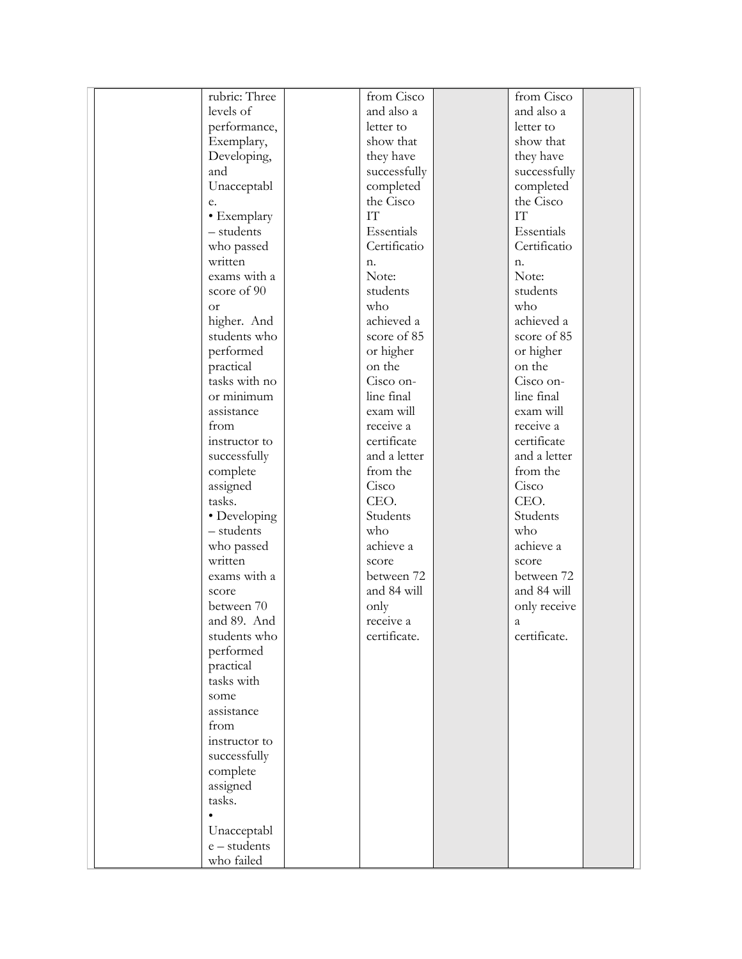| rubric: Three      | from Cisco   | from Cisco             |
|--------------------|--------------|------------------------|
| levels of          | and also a   | and also a             |
| performance,       | letter to    | letter to              |
| Exemplary,         | show that    | show that              |
| Developing,        | they have    | they have              |
| and                | successfully | successfully           |
| Unacceptabl        | completed    | completed              |
| e.                 | the Cisco    | the Cisco              |
| • Exemplary        | <b>IT</b>    | $\mathbf{I}\mathbf{T}$ |
| - students         | Essentials   | Essentials             |
|                    | Certificatio | Certificatio           |
| who passed         |              |                        |
| written            | n.           | n.                     |
| exams with a       | Note:        | Note:                  |
| score of 90        | students     | students               |
| <b>or</b>          | who          | who                    |
| higher. And        | achieved a   | achieved a             |
| students who       | score of 85  | score of 85            |
| performed          | or higher    | or higher              |
| practical          | on the       | on the                 |
| tasks with no      | Cisco on-    | Cisco on-              |
| or minimum         | line final   | line final             |
| assistance         | exam will    | exam will              |
| from               | receive a    | receive a              |
| instructor to      | certificate  | certificate            |
| successfully       | and a letter | and a letter           |
| complete           | from the     | from the               |
| assigned           | Cisco        | Cisco                  |
| tasks.             | CEO.         | CEO.                   |
| • Developing       | Students     | Students               |
| - students         | who          | who                    |
| who passed         | achieve a    | achieve a              |
| written            | score        | score                  |
| exams with a       | between 72   | between 72             |
| score              | and 84 will  | and 84 will            |
| between 70         | only         | only receive           |
| and 89. And        | receive a    | a                      |
| students who       | certificate. | certificate.           |
| performed          |              |                        |
| practical          |              |                        |
| tasks with         |              |                        |
|                    |              |                        |
| some<br>assistance |              |                        |
| from               |              |                        |
|                    |              |                        |
| instructor to      |              |                        |
| successfully       |              |                        |
| complete           |              |                        |
| assigned           |              |                        |
| tasks.             |              |                        |
|                    |              |                        |
| Unacceptabl        |              |                        |
| e – students       |              |                        |
| who failed         |              |                        |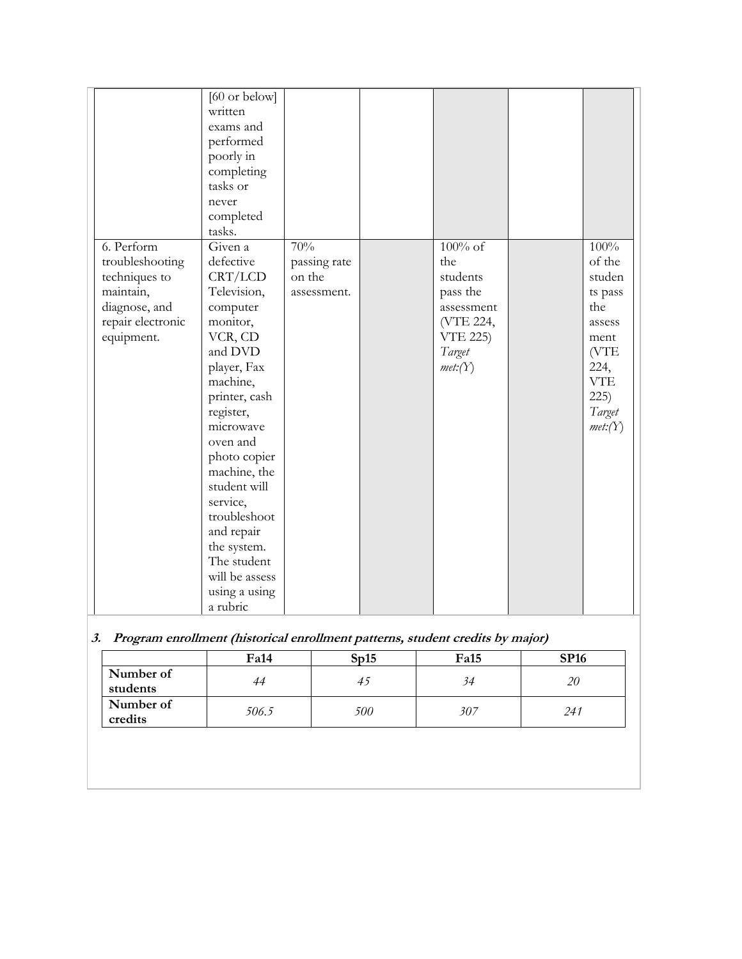|                   | [60 or below]              |              |                              |              |  |
|-------------------|----------------------------|--------------|------------------------------|--------------|--|
|                   | written                    |              |                              |              |  |
|                   | exams and                  |              |                              |              |  |
|                   | performed                  |              |                              |              |  |
|                   | poorly in                  |              |                              |              |  |
|                   | completing<br>tasks or     |              |                              |              |  |
|                   |                            |              |                              |              |  |
|                   | never                      |              |                              |              |  |
|                   | completed                  |              |                              |              |  |
|                   | tasks.<br>Given a          | 70%          | $100\%$ of                   | 100%         |  |
| 6. Perform        |                            |              | the                          | of the       |  |
| troubleshooting   | defective                  | passing rate |                              |              |  |
| techniques to     | CRT/LCD                    | on the       | students                     | studen       |  |
| maintain,         | Television,                | assessment.  | pass the                     | ts pass      |  |
| diagnose, and     | computer                   |              | assessment                   | the          |  |
| repair electronic | monitor,<br>VCR, CD        |              | (VTE 224,<br><b>VTE 225)</b> | assess       |  |
| equipment.        | and DVD                    |              | Target                       | ment<br>(VTE |  |
|                   |                            |              |                              | 224,         |  |
|                   | player, Fax                |              | met:(Y)                      | <b>VTE</b>   |  |
|                   | machine,                   |              |                              | 225)         |  |
|                   | printer, cash              |              |                              |              |  |
|                   | register,<br>microwave     |              |                              | Target       |  |
|                   | oven and                   |              |                              | met:(Y)      |  |
|                   | photo copier               |              |                              |              |  |
|                   | machine, the               |              |                              |              |  |
|                   | student will               |              |                              |              |  |
|                   | service,                   |              |                              |              |  |
|                   | troubleshoot               |              |                              |              |  |
|                   |                            |              |                              |              |  |
|                   | and repair                 |              |                              |              |  |
|                   | the system.<br>The student |              |                              |              |  |
|                   | will be assess             |              |                              |              |  |
|                   | using a using              |              |                              |              |  |
|                   | a rubric                   |              |                              |              |  |
|                   |                            |              |                              |              |  |

# **3. Program enrollment (historical enrollment patterns, student credits by major)**

|                       | <b>Fa14</b> | Sn15 | <b>Fa15</b> | <b>SP16</b> |
|-----------------------|-------------|------|-------------|-------------|
| Number of<br>students | 44          | 4)   | 34          | 20          |
| Number of<br>credits  | 506.5       | 500  | 307         | 241         |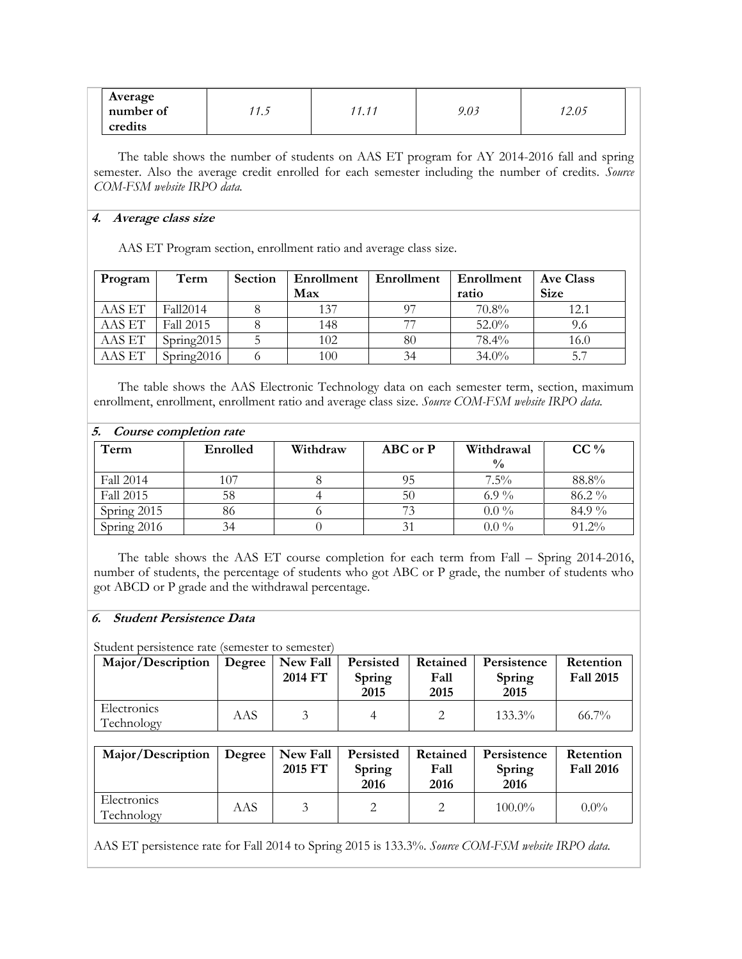| Average<br>number of | ر، ا | $\overline{4}$ $\overline{4}$<br>$-11$<br>, , , , , | 9.03 | 12.05 |
|----------------------|------|-----------------------------------------------------|------|-------|
| credits              |      |                                                     |      |       |

The table shows the number of students on AAS ET program for AY 2014-2016 fall and spring semester. Also the average credit enrolled for each semester including the number of credits. *Source COM-FSM website IRPO data.*

### **4. Average class size**

AAS ET Program section, enrollment ratio and average class size.

| Program | Term       | Section | Enrollment | Enrollment | Enrollment | Ave Class   |
|---------|------------|---------|------------|------------|------------|-------------|
|         |            |         | Max        |            | ratio      | <b>Size</b> |
| AAS ET  | Fall2014   |         | 137        | 97         | 70.8%      | 12.1        |
| AAS ET  | Fall 2015  |         | 148        | 77         | $52.0\%$   | 9.6         |
| AAS ET  | Spring2015 |         | 102        | 80         | $78.4\%$   | 16.0        |
| AAS ET  | Spring2016 |         | 100        | 34         | $34.0\%$   | 5.7         |

The table shows the AAS Electronic Technology data on each semester term, section, maximum enrollment, enrollment, enrollment ratio and average class size. *Source COM-FSM website IRPO data.*

| 5. Course completion rate |          |          |          |               |        |  |  |  |  |
|---------------------------|----------|----------|----------|---------------|--------|--|--|--|--|
| Term                      | Enrolled | Withdraw | ABC or P | Withdrawal    | $CC\%$ |  |  |  |  |
|                           |          |          |          | $\frac{0}{0}$ |        |  |  |  |  |
| Fall 2014                 | 107      |          | 95       | $7.5\%$       | 88.8%  |  |  |  |  |
| Fall 2015                 | 58       |          | 50       | 6.9 $\%$      | 86.2%  |  |  |  |  |
| Spring 2015               | 86       |          |          | $0.0\%$       | 84.9%  |  |  |  |  |
| Spring 2016               | 34       |          |          | $0.0\%$       | 91.2%  |  |  |  |  |

The table shows the AAS ET course completion for each term from Fall – Spring 2014-2016, number of students, the percentage of students who got ABC or P grade, the number of students who got ABCD or P grade and the withdrawal percentage.

# **6. Student Persistence Data**

Student persistence rate (semester to semester)

| Major/Description         |     | Degree   New Fall<br>2014 FT | Persisted<br>Spring<br>2015 | Retained<br>Fall<br>2015 | Persistence<br>Spring<br>2015 | Retention<br><b>Fall 2015</b> |
|---------------------------|-----|------------------------------|-----------------------------|--------------------------|-------------------------------|-------------------------------|
| Electronics<br>Technology | AAS |                              |                             |                          | 133.3%                        | $66.7\%$                      |

| Major/Description         |     | Degree   New Fall   Persisted<br>2015 FT | Spring<br>2016 | Retained<br>Fall<br>2016 | Persistence<br>Spring<br>2016 | Retention<br><b>Fall 2016</b> |
|---------------------------|-----|------------------------------------------|----------------|--------------------------|-------------------------------|-------------------------------|
| Electronics<br>Technology | AAS |                                          |                |                          | $100.0\%$                     | $0.0\%$                       |

AAS ET persistence rate for Fall 2014 to Spring 2015 is 133.3%. *Source COM-FSM website IRPO data.*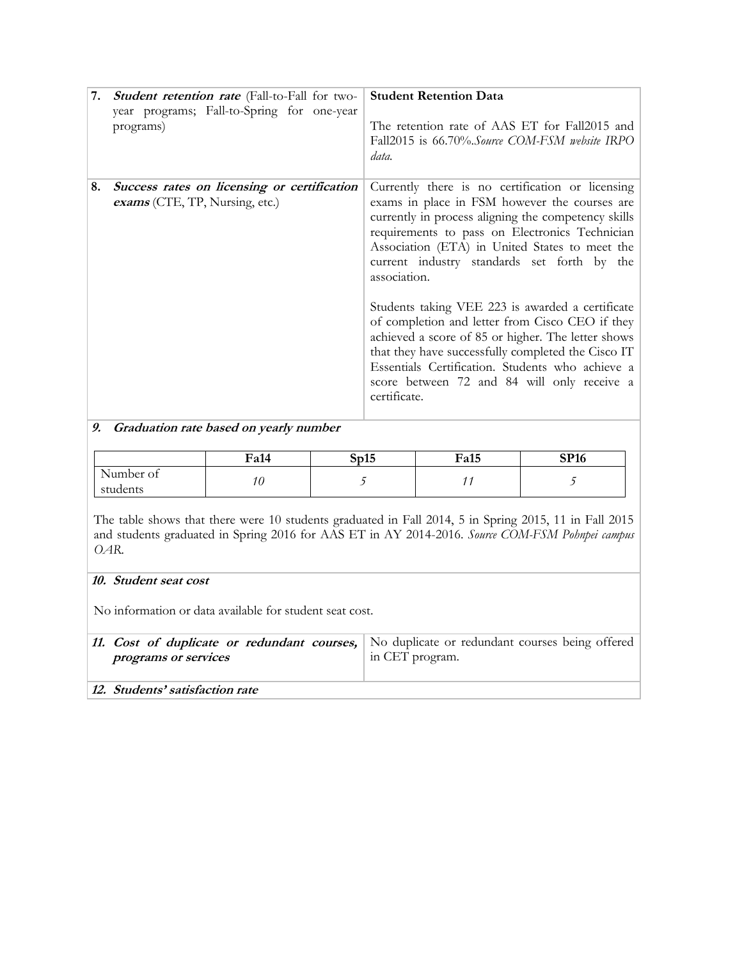| 7. | <b>Student retention rate</b> (Fall-to-Fall for two-<br>year programs; Fall-to-Spring for one-year<br>programs) | <b>Student Retention Data</b><br>The retention rate of AAS ET for Fall2015 and<br>Fall2015 is 66.70%. Source COM-FSM website IRPO<br>data.                                                                                                                                                                                         |
|----|-----------------------------------------------------------------------------------------------------------------|------------------------------------------------------------------------------------------------------------------------------------------------------------------------------------------------------------------------------------------------------------------------------------------------------------------------------------|
| 8. | Success rates on licensing or certification<br>exams (CTE, TP, Nursing, etc.)                                   | Currently there is no certification or licensing<br>exams in place in FSM however the courses are<br>currently in process aligning the competency skills<br>requirements to pass on Electronics Technician<br>Association (ETA) in United States to meet the<br>current industry standards set forth by the<br>association.        |
|    |                                                                                                                 | Students taking VEE 223 is awarded a certificate<br>of completion and letter from Cisco CEO if they<br>achieved a score of 85 or higher. The letter shows<br>that they have successfully completed the Cisco IT<br>Essentials Certification. Students who achieve a<br>score between 72 and 84 will only receive a<br>certificate. |

# **9. Graduation rate based on yearly number**

|                       | Fa14 | $\rightarrow$<br>$\mathbf{\Omega}$<br>ບບ⊥ບ | Fa15 | CD16<br>' 10 |
|-----------------------|------|--------------------------------------------|------|--------------|
| Number of<br>students |      |                                            |      |              |

The table shows that there were 10 students graduated in Fall 2014, 5 in Spring 2015, 11 in Fall 2015 and students graduated in Spring 2016 for AAS ET in AY 2014-2016. *Source COM-FSM Pohnpei campus OAR.*

# **10. Student seat cost**

No information or data available for student seat cost.

| programs or services            | 11. Cost of duplicate or redundant courses, No duplicate or redundant courses being offered<br>in CET program. |
|---------------------------------|----------------------------------------------------------------------------------------------------------------|
| 12. Students' satisfaction rate |                                                                                                                |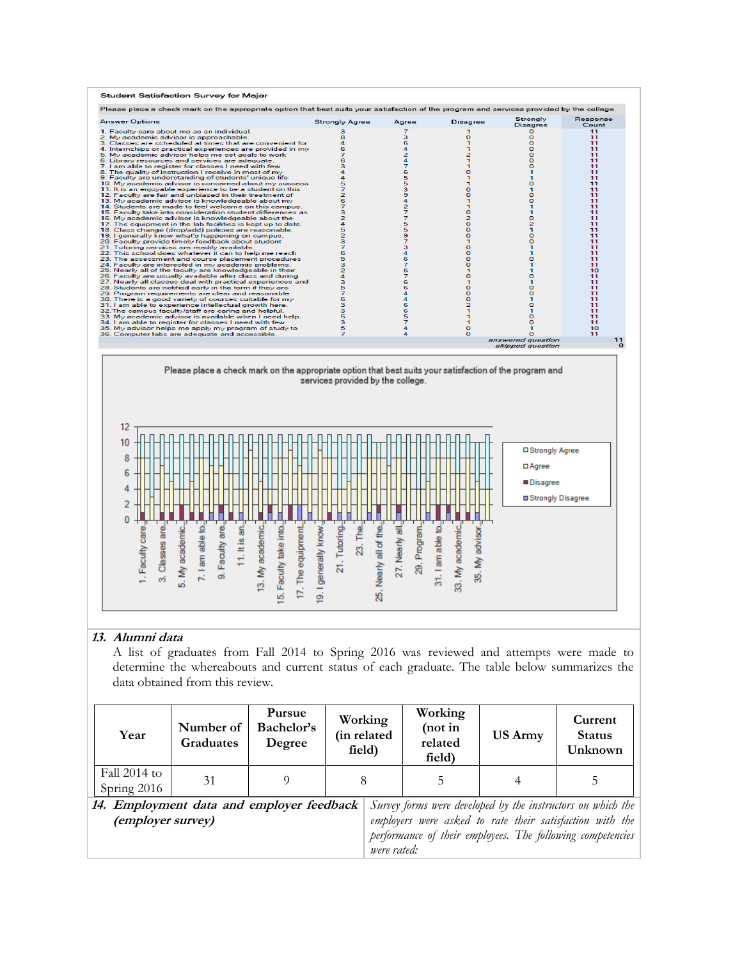

### **13. Alumni data**

A list of graduates from Fall 2014 to Spring 2016 was reviewed and attempts were made to determine the whereabouts and current status of each graduate. The table below summarizes the data obtained from this review.

| Year                                                           | Number of<br><b>Graduates</b> | Pursue<br>Bachelor's<br>Degree |             | Working<br>(in related<br>field) | Working<br>(not in<br>related<br>field) | <b>US Army</b>                                                                                                                                                                        | Current<br><b>Status</b><br>Unknown |
|----------------------------------------------------------------|-------------------------------|--------------------------------|-------------|----------------------------------|-----------------------------------------|---------------------------------------------------------------------------------------------------------------------------------------------------------------------------------------|-------------------------------------|
| Fall $2014$ to<br>Spring 2016                                  | 31                            |                                |             |                                  | 5                                       |                                                                                                                                                                                       |                                     |
| 14. Employment data and employer feedback<br>(employer survey) |                               |                                | were rated: |                                  |                                         | Survey forms were developed by the instructors on which the<br>employers were asked to rate their satisfaction with the<br>performance of their employees. The following competencies |                                     |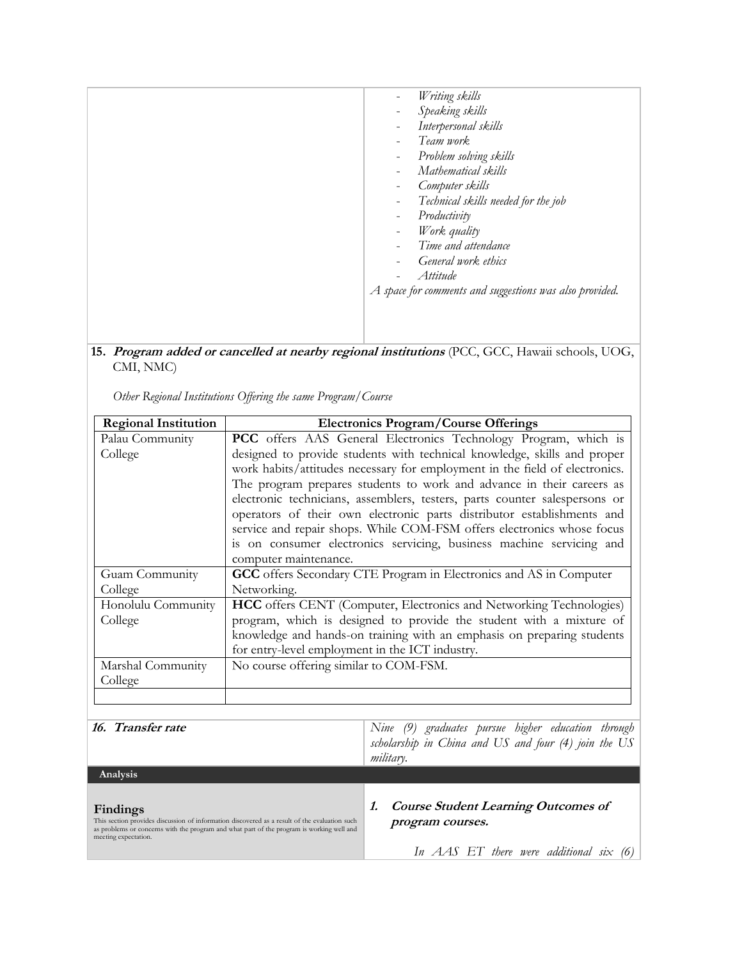| Writing skills<br>$\overline{\phantom{0}}$<br>Speaking skills<br>$\qquad \qquad -$<br>Interpersonal skills<br>Team work<br>$\overline{a}$<br>Problem solving skills<br>$\overline{\phantom{a}}$<br>Mathematical skills<br>$\overline{\phantom{a}}$<br>Computer skills<br>$\overline{a}$<br>Technical skills needed for the job<br>$\overline{a}$<br>Productivity<br>$\qquad \qquad -$<br>Work quality<br>$\overline{\phantom{a}}$<br>Time and attendance<br>General work ethics<br>۰<br>Attitude<br>A space for comments and suggestions was also provided. |
|-------------------------------------------------------------------------------------------------------------------------------------------------------------------------------------------------------------------------------------------------------------------------------------------------------------------------------------------------------------------------------------------------------------------------------------------------------------------------------------------------------------------------------------------------------------|
|                                                                                                                                                                                                                                                                                                                                                                                                                                                                                                                                                             |

**15. Program added or cancelled at nearby regional institutions** (PCC, GCC, Hawaii schools, UOG, CMI, NMC)

*Other Regional Institutions Offering the same Program/Course*

| <b>Regional Institution</b> | <b>Electronics Program/Course Offerings</b>                                                                                                          |  |  |
|-----------------------------|------------------------------------------------------------------------------------------------------------------------------------------------------|--|--|
| Palau Community             | PCC offers AAS General Electronics Technology Program, which is                                                                                      |  |  |
| College                     | designed to provide students with technical knowledge, skills and proper                                                                             |  |  |
|                             | work habits/attitudes necessary for employment in the field of electronics.                                                                          |  |  |
|                             | The program prepares students to work and advance in their careers as                                                                                |  |  |
|                             | electronic technicians, assemblers, testers, parts counter salespersons or<br>operators of their own electronic parts distributor establishments and |  |  |
|                             | service and repair shops. While COM-FSM offers electronics whose focus                                                                               |  |  |
|                             | is on consumer electronics servicing, business machine servicing and                                                                                 |  |  |
|                             | computer maintenance.                                                                                                                                |  |  |
| Guam Community              | GCC offers Secondary CTE Program in Electronics and AS in Computer                                                                                   |  |  |
| College                     | Networking.                                                                                                                                          |  |  |
| Honolulu Community          | HCC offers CENT (Computer, Electronics and Networking Technologies)                                                                                  |  |  |
| College                     | program, which is designed to provide the student with a mixture of                                                                                  |  |  |
|                             | knowledge and hands-on training with an emphasis on preparing students                                                                               |  |  |
|                             | for entry-level employment in the ICT industry.                                                                                                      |  |  |
| Marshal Community           | No course offering similar to COM-FSM.                                                                                                               |  |  |
| College                     |                                                                                                                                                      |  |  |
|                             |                                                                                                                                                      |  |  |
|                             |                                                                                                                                                      |  |  |
| 16. Transfer rate           | Nine (9) graduates pursue higher education through<br>scholarship in China and $\overline{H}S$ and four $(A)$ join the $\overline{H}S$               |  |  |

|                                                                                                                                                                                                                                | scholarship in China and US and four (4) join the US<br><i>military.</i>                                      |
|--------------------------------------------------------------------------------------------------------------------------------------------------------------------------------------------------------------------------------|---------------------------------------------------------------------------------------------------------------|
| Analysis                                                                                                                                                                                                                       |                                                                                                               |
| Findings<br>This section provides discussion of information discovered as a result of the evaluation such<br>as problems or concerns with the program and what part of the program is working well and<br>meeting expectation. | <b>Course Student Learning Outcomes of</b><br>program courses.<br>In $AAS$ ET there were additional six $(6)$ |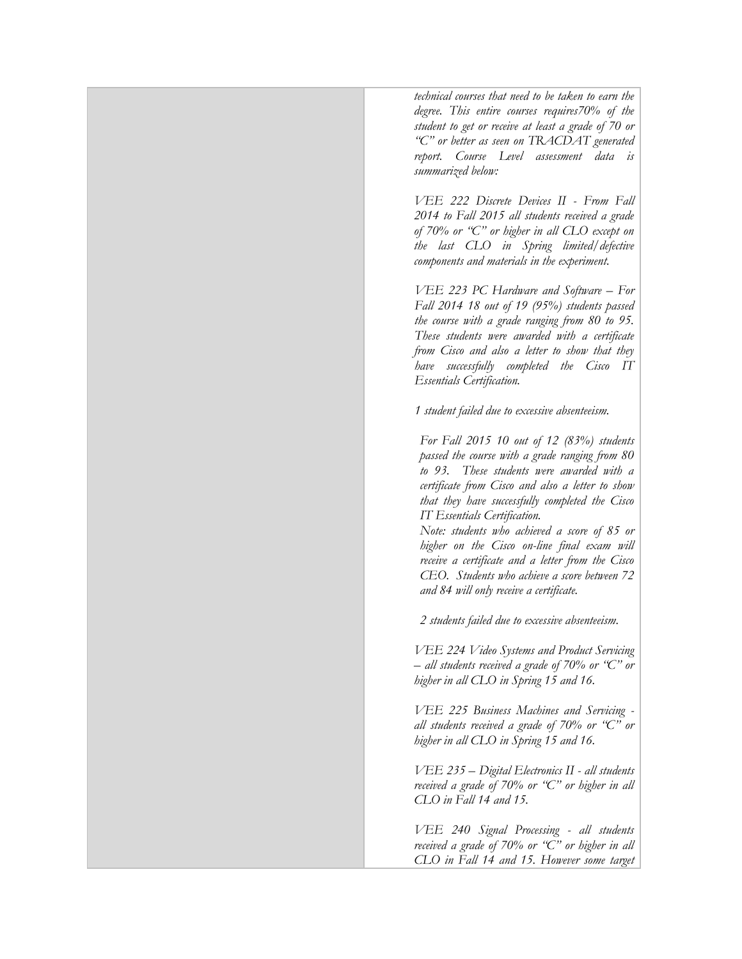*technical courses that need to be taken to earn the degree. This entire courses requires70% of the student to get or receive at least a grade of 70 or "C" or better as seen on TRACDAT generated report. Course Level assessment data is summarized below:*

*VEE 222 Discrete Devices II - From Fall 2014 to Fall 2015 all students received a grade of 70% or "C" or higher in all CLO except on the last CLO in Spring limited/defective components and materials in the experiment.*

*VEE 223 PC Hardware and Software – For Fall 2014 18 out of 19 (95%) students passed the course with a grade ranging from 80 to 95. These students were awarded with a certificate from Cisco and also a letter to show that they have successfully completed the Cisco IT Essentials Certification.*

*1 student failed due to excessive absenteeism.*

*For Fall 2015 10 out of 12 (83%) students passed the course with a grade ranging from 80 to 93. These students were awarded with a certificate from Cisco and also a letter to show that they have successfully completed the Cisco IT Essentials Certification.*

*Note: students who achieved a score of 85 or higher on the Cisco on-line final exam will receive a certificate and a letter from the Cisco CEO. Students who achieve a score between 72 and 84 will only receive a certificate.*

*2 students failed due to excessive absenteeism.*

*VEE 224 Video Systems and Product Servicing – all students received a grade of 70% or "C" or higher in all CLO in Spring 15 and 16.*

*VEE 225 Business Machines and Servicing all students received a grade of 70% or "C" or higher in all CLO in Spring 15 and 16.*

*VEE 235 – Digital Electronics II - all students received a grade of 70% or "C" or higher in all CLO in Fall 14 and 15.* 

*VEE 240 Signal Processing - all students received a grade of 70% or "C" or higher in all CLO in Fall 14 and 15. However some target*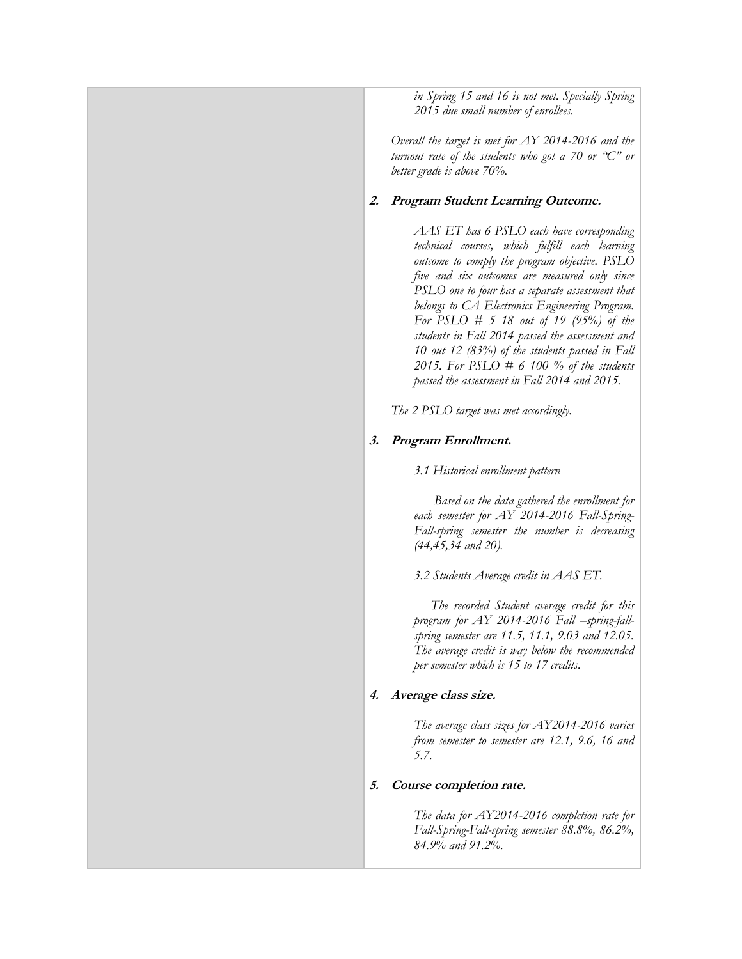*in Spring 15 and 16 is not met. Specially Spring 2015 due small number of enrollees.*

*Overall the target is met for AY 2014-2016 and the turnout rate of the students who got a 70 or "C" or better grade is above 70%.*

# **2. Program Student Learning Outcome.**

*AAS ET has 6 PSLO each have corresponding technical courses, which fulfill each learning outcome to comply the program objective. PSLO five and six outcomes are measured only since PSLO one to four has a separate assessment that belongs to CA Electronics Engineering Program. For PSLO # 5 18 out of 19 (95%) of the students in Fall 2014 passed the assessment and 10 out 12 (83%) of the students passed in Fall 2015. For PSLO # 6 100 % of the students passed the assessment in Fall 2014 and 2015.* 

*The 2 PSLO target was met accordingly.*

# **3. Program Enrollment.**

*3.1 Historical enrollment pattern*

 *Based on the data gathered the enrollment for each semester for AY 2014-2016 Fall-Spring-Fall-spring semester the number is decreasing (44,45,34 and 20).*

*3.2 Students Average credit in AAS ET.*

 *The recorded Student average credit for this program for AY 2014-2016 Fall –spring-fallspring semester are 11.5, 11.1, 9.03 and 12.05. The average credit is way below the recommended per semester which is 15 to 17 credits.*

### **4. Average class size.**

*The average class sizes for AY2014-2016 varies from semester to semester are 12.1, 9.6, 16 and 5.7.*

### **5. Course completion rate.**

*The data for AY2014-2016 completion rate for Fall-Spring-Fall-spring semester 88.8%, 86.2%, 84.9% and 91.2%.*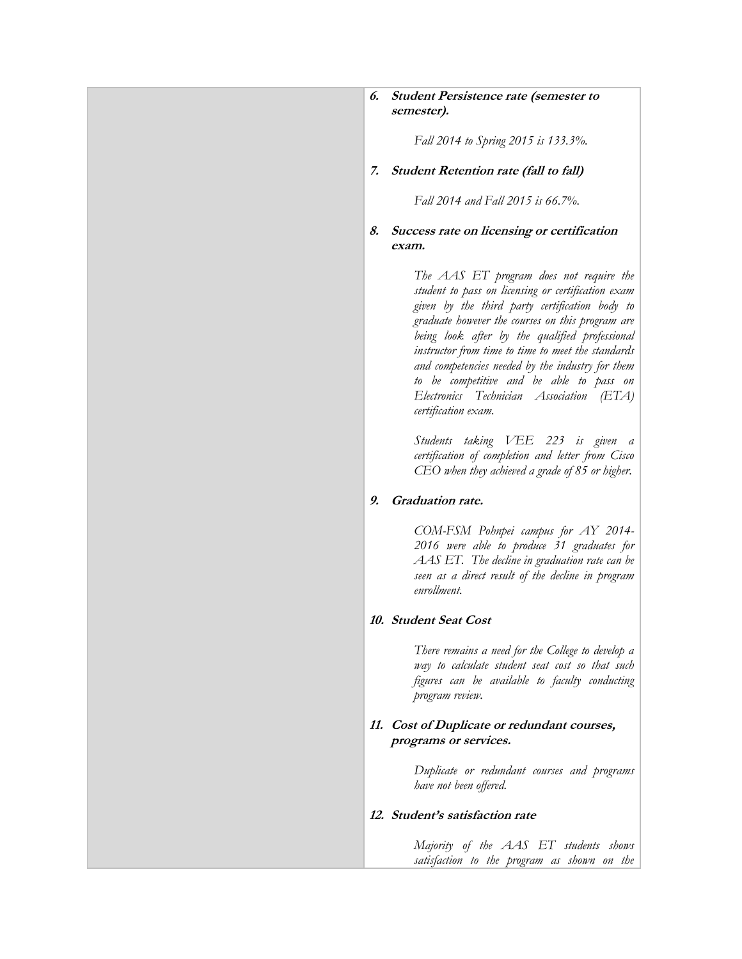### **6. Student Persistence rate (semester to semester).**

*Fall 2014 to Spring 2015 is 133.3%.*

#### **7. Student Retention rate (fall to fall)**

*Fall 2014 and Fall 2015 is 66.7%.*

### **8. Success rate on licensing or certification exam.**

*The AAS ET program does not require the student to pass on licensing or certification exam given by the third party certification body to graduate however the courses on this program are being look after by the qualified professional instructor from time to time to meet the standards and competencies needed by the industry for them to be competitive and be able to pass on Electronics Technician Association (ETA) certification exam.*

*Students taking VEE 223 is given a certification of completion and letter from Cisco CEO when they achieved a grade of 85 or higher.*

#### **9. Graduation rate.**

*COM-FSM Pohnpei campus for AY 2014- 2016 were able to produce 31 graduates for AAS ET. The decline in graduation rate can be seen as a direct result of the decline in program enrollment.*

#### **10. Student Seat Cost**

*There remains a need for the College to develop a way to calculate student seat cost so that such figures can be available to faculty conducting program review.*

#### **11. Cost of Duplicate or redundant courses, programs or services.**

*Duplicate or redundant courses and programs have not been offered.*

#### **12. Student's satisfaction rate**

*Majority of the AAS ET students shows satisfaction to the program as shown on the*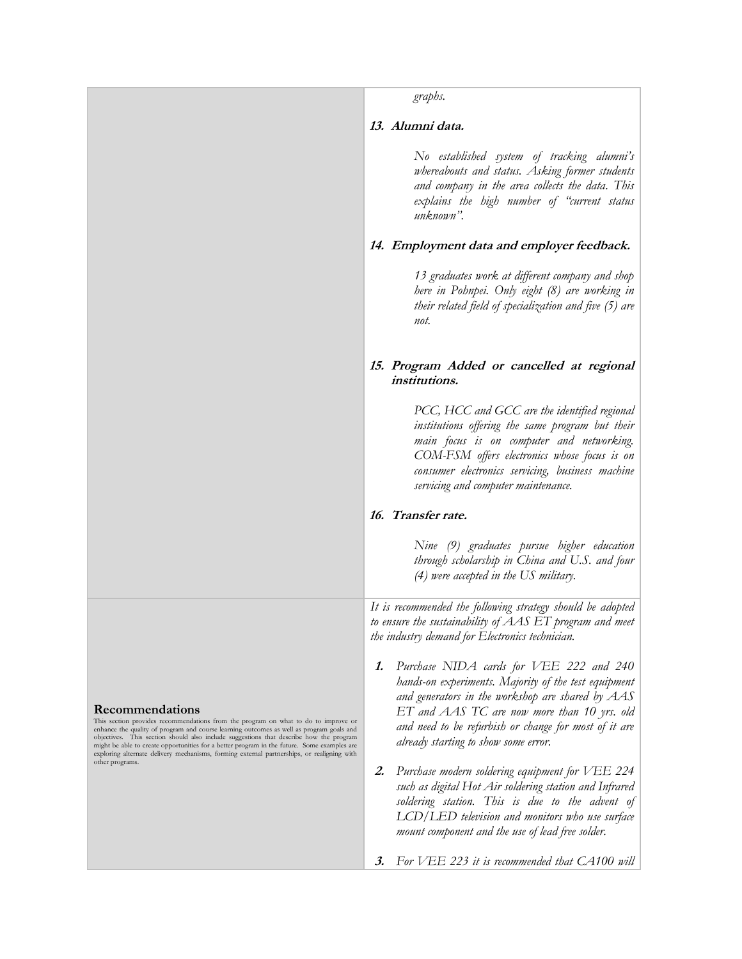|                                                                                                                                                                                                                                                                                                                                                                                                                                                                                                                    | graphs.                                                                                                                                                                                                                                                                                                     |
|--------------------------------------------------------------------------------------------------------------------------------------------------------------------------------------------------------------------------------------------------------------------------------------------------------------------------------------------------------------------------------------------------------------------------------------------------------------------------------------------------------------------|-------------------------------------------------------------------------------------------------------------------------------------------------------------------------------------------------------------------------------------------------------------------------------------------------------------|
|                                                                                                                                                                                                                                                                                                                                                                                                                                                                                                                    | 13. Alumni data.                                                                                                                                                                                                                                                                                            |
|                                                                                                                                                                                                                                                                                                                                                                                                                                                                                                                    | No established system of tracking alumni's<br>whereabouts and status. Asking former students<br>and company in the area collects the data. This<br>explains the high number of "current status<br>unknown".                                                                                                 |
|                                                                                                                                                                                                                                                                                                                                                                                                                                                                                                                    | 14. Employment data and employer feedback.                                                                                                                                                                                                                                                                  |
|                                                                                                                                                                                                                                                                                                                                                                                                                                                                                                                    | 13 graduates work at different company and shop<br>here in Pohnpei. Only eight (8) are working in<br>their related field of specialization and five (5) are<br>not.                                                                                                                                         |
|                                                                                                                                                                                                                                                                                                                                                                                                                                                                                                                    | 15. Program Added or cancelled at regional<br><i>institutions.</i>                                                                                                                                                                                                                                          |
|                                                                                                                                                                                                                                                                                                                                                                                                                                                                                                                    | PCC, HCC and GCC are the identified regional<br>institutions offering the same program but their<br>main focus is on computer and networking.<br>COM-FSM offers electronics whose focus is on<br>consumer electronics servicing, business machine<br>servicing and computer maintenance.                    |
|                                                                                                                                                                                                                                                                                                                                                                                                                                                                                                                    | 16. Transfer rate.                                                                                                                                                                                                                                                                                          |
|                                                                                                                                                                                                                                                                                                                                                                                                                                                                                                                    | Nine (9) graduates pursue higher education<br>through scholarship in China and U.S. and four<br>$(4)$ were accepted in the US military.                                                                                                                                                                     |
|                                                                                                                                                                                                                                                                                                                                                                                                                                                                                                                    | It is recommended the following strategy should be adopted<br>to ensure the sustainability of AAS ET program and meet<br>the industry demand for Electronics technician.                                                                                                                                    |
| <b>Recommendations</b><br>This section provides recommendations from the program on what to do to improve or<br>enhance the quality of program and course learning outcomes as well as program goals and<br>objectives. This section should also include suggestions that describe how the program<br>might be able to create opportunities for a better program in the future. Some examples are<br>exploring alternate delivery mechanisms, forming external partnerships, or realigning with<br>other programs. | Purchase NIDA cards for VEE 222 and 240<br>1.<br>hands-on experiments. Majority of the test equipment<br>and generators in the workshop are shared by $AAS$<br>ET and AAS TC are now more than 10 yrs. old<br>and need to be refurbish or change for most of it are<br>already starting to show some error. |
|                                                                                                                                                                                                                                                                                                                                                                                                                                                                                                                    | Purchase modern soldering equipment for VEE 224<br>$\mathbf{2}$ .<br>such as digital Hot Air soldering station and Infrared<br>soldering station. This is due to the advent of<br>LCD/LED television and monitors who use surface<br>mount component and the use of lead free solder.                       |
|                                                                                                                                                                                                                                                                                                                                                                                                                                                                                                                    | For VEE 223 it is recommended that CA100 will<br>3.                                                                                                                                                                                                                                                         |
|                                                                                                                                                                                                                                                                                                                                                                                                                                                                                                                    |                                                                                                                                                                                                                                                                                                             |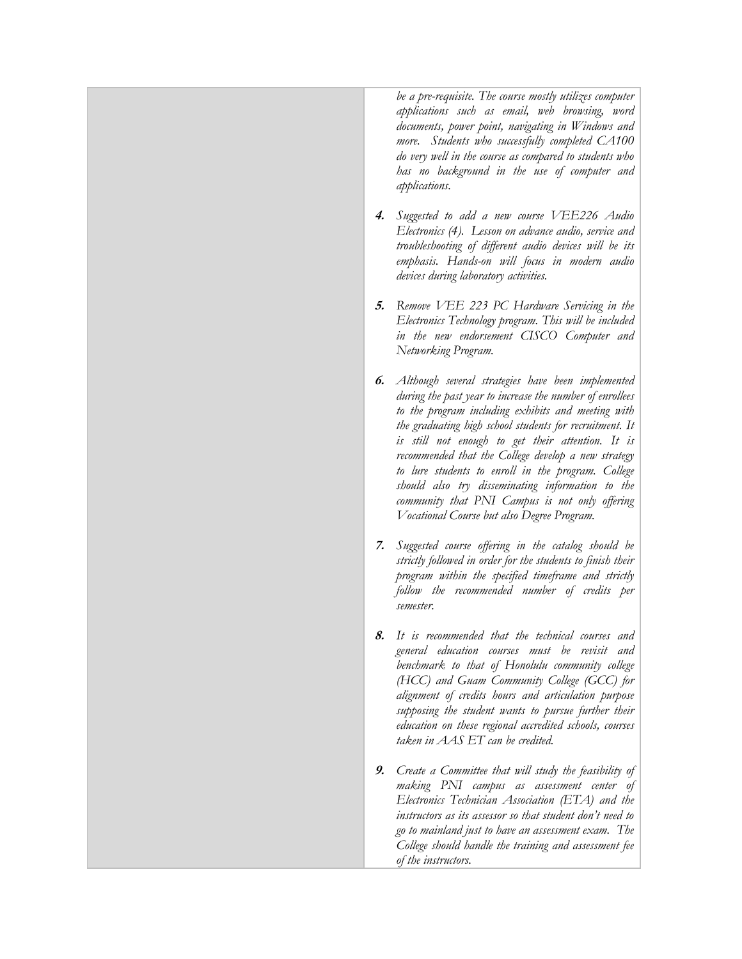*be a pre-requisite. The course mostly utilizes computer applications such as email, web browsing, word documents, power point, navigating in Windows and more. Students who successfully completed CA100 do very well in the course as compared to students who has no background in the use of computer and applications.*

- **4.** *Suggested to add a new course VEE226 Audio Electronics (4). Lesson on advance audio, service and troubleshooting of different audio devices will be its emphasis. Hands-on will focus in modern audio devices during laboratory activities.*
- **5.** *Remove VEE 223 PC Hardware Servicing in the Electronics Technology program. This will be included in the new endorsement CISCO Computer and Networking Program.*
- **6.** *Although several strategies have been implemented during the past year to increase the number of enrollees to the program including exhibits and meeting with the graduating high school students for recruitment. It is still not enough to get their attention. It is recommended that the College develop a new strategy to lure students to enroll in the program. College should also try disseminating information to the community that PNI Campus is not only offering Vocational Course but also Degree Program.*
- **7.** *Suggested course offering in the catalog should be strictly followed in order for the students to finish their program within the specified timeframe and strictly follow the recommended number of credits per semester.*
- **8.** *It is recommended that the technical courses and general education courses must be revisit and benchmark to that of Honolulu community college (HCC) and Guam Community College (GCC) for alignment of credits hours and articulation purpose supposing the student wants to pursue further their education on these regional accredited schools, courses taken in AAS ET can be credited.*
- **9.** *Create a Committee that will study the feasibility of making PNI campus as assessment center of Electronics Technician Association (ETA) and the instructors as its assessor so that student don't need to go to mainland just to have an assessment exam. The College should handle the training and assessment fee of the instructors.*